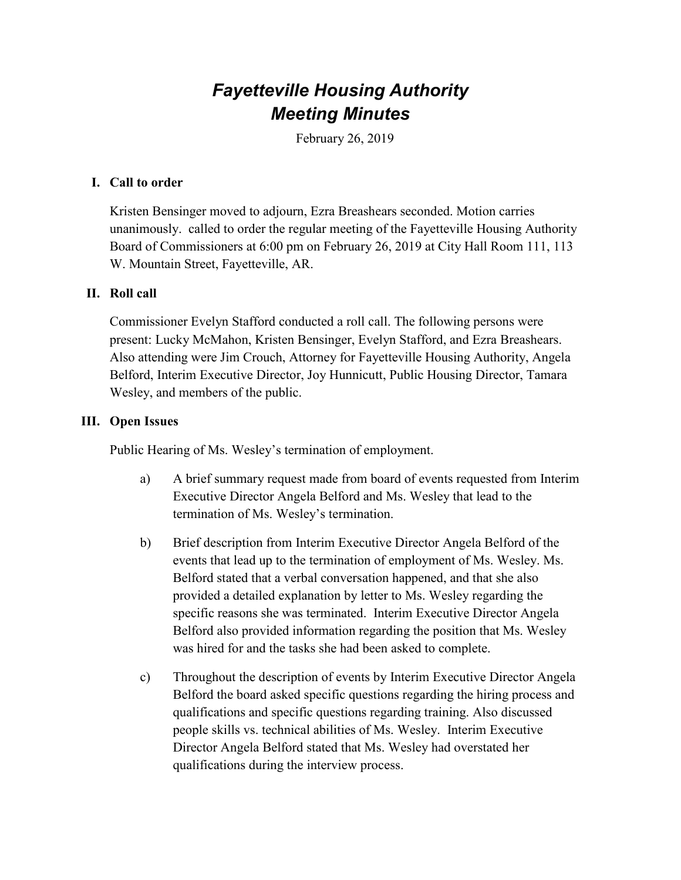# *Fayetteville Housing Authority Meeting Minutes*

February 26, 2019

#### **I. Call to order**

Kristen Bensinger moved to adjourn, Ezra Breashears seconded. Motion carries unanimously. called to order the regular meeting of the Fayetteville Housing Authority Board of Commissioners at 6:00 pm on February 26, 2019 at City Hall Room 111, 113 W. Mountain Street, Fayetteville, AR.

## **II. Roll call**

Commissioner Evelyn Stafford conducted a roll call. The following persons were present: Lucky McMahon, Kristen Bensinger, Evelyn Stafford, and Ezra Breashears. Also attending were Jim Crouch, Attorney for Fayetteville Housing Authority, Angela Belford, Interim Executive Director, Joy Hunnicutt, Public Housing Director, Tamara Wesley, and members of the public.

## **III. Open Issues**

Public Hearing of Ms. Wesley's termination of employment.

- a) A brief summary request made from board of events requested from Interim Executive Director Angela Belford and Ms. Wesley that lead to the termination of Ms. Wesley's termination.
- b) Brief description from Interim Executive Director Angela Belford of the events that lead up to the termination of employment of Ms. Wesley. Ms. Belford stated that a verbal conversation happened, and that she also provided a detailed explanation by letter to Ms. Wesley regarding the specific reasons she was terminated. Interim Executive Director Angela Belford also provided information regarding the position that Ms. Wesley was hired for and the tasks she had been asked to complete.
- c) Throughout the description of events by Interim Executive Director Angela Belford the board asked specific questions regarding the hiring process and qualifications and specific questions regarding training. Also discussed people skills vs. technical abilities of Ms. Wesley. Interim Executive Director Angela Belford stated that Ms. Wesley had overstated her qualifications during the interview process.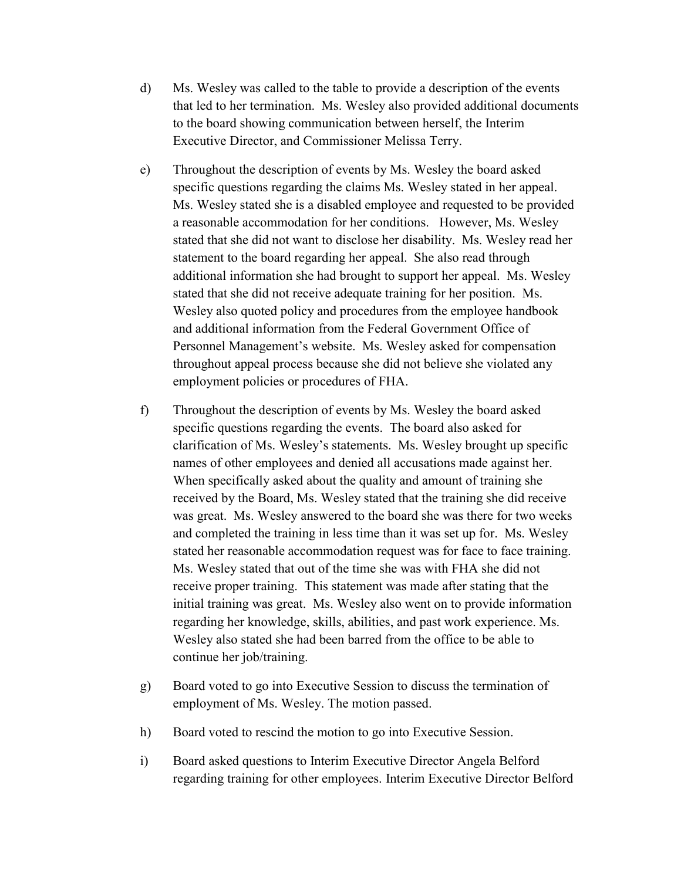- d) Ms. Wesley was called to the table to provide a description of the events that led to her termination. Ms. Wesley also provided additional documents to the board showing communication between herself, the Interim Executive Director, and Commissioner Melissa Terry.
- e) Throughout the description of events by Ms. Wesley the board asked specific questions regarding the claims Ms. Wesley stated in her appeal. Ms. Wesley stated she is a disabled employee and requested to be provided a reasonable accommodation for her conditions. However, Ms. Wesley stated that she did not want to disclose her disability. Ms. Wesley read her statement to the board regarding her appeal. She also read through additional information she had brought to support her appeal. Ms. Wesley stated that she did not receive adequate training for her position. Ms. Wesley also quoted policy and procedures from the employee handbook and additional information from the Federal Government Office of Personnel Management's website. Ms. Wesley asked for compensation throughout appeal process because she did not believe she violated any employment policies or procedures of FHA.
- f) Throughout the description of events by Ms. Wesley the board asked specific questions regarding the events. The board also asked for clarification of Ms. Wesley's statements. Ms. Wesley brought up specific names of other employees and denied all accusations made against her. When specifically asked about the quality and amount of training she received by the Board, Ms. Wesley stated that the training she did receive was great. Ms. Wesley answered to the board she was there for two weeks and completed the training in less time than it was set up for. Ms. Wesley stated her reasonable accommodation request was for face to face training. Ms. Wesley stated that out of the time she was with FHA she did not receive proper training. This statement was made after stating that the initial training was great. Ms. Wesley also went on to provide information regarding her knowledge, skills, abilities, and past work experience. Ms. Wesley also stated she had been barred from the office to be able to continue her job/training.
- g) Board voted to go into Executive Session to discuss the termination of employment of Ms. Wesley. The motion passed.
- h) Board voted to rescind the motion to go into Executive Session.
- i) Board asked questions to Interim Executive Director Angela Belford regarding training for other employees. Interim Executive Director Belford